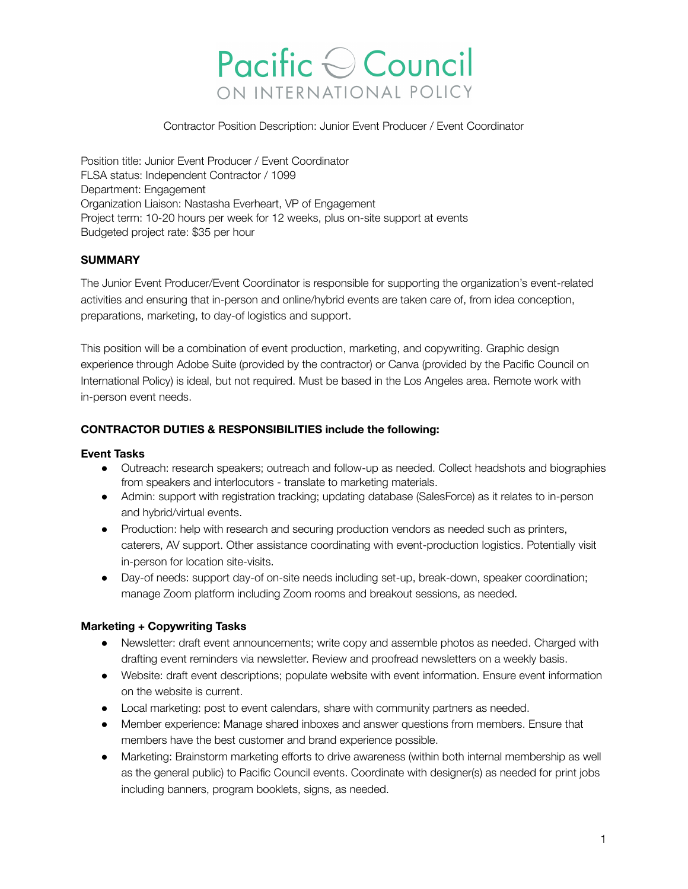# Pacific Council ON INTERNATIONAL POLICY

Contractor Position Description: Junior Event Producer / Event Coordinator

Position title: Junior Event Producer / Event Coordinator FLSA status: Independent Contractor / 1099 Department: Engagement Organization Liaison: Nastasha Everheart, VP of Engagement Project term: 10-20 hours per week for 12 weeks, plus on-site support at events Budgeted project rate: \$35 per hour

# **SUMMARY**

The Junior Event Producer/Event Coordinator is responsible for supporting the organization's event-related activities and ensuring that in-person and online/hybrid events are taken care of, from idea conception, preparations, marketing, to day-of logistics and support.

This position will be a combination of event production, marketing, and copywriting. Graphic design experience through Adobe Suite (provided by the contractor) or Canva (provided by the Pacific Council on International Policy) is ideal, but not required. Must be based in the Los Angeles area. Remote work with in-person event needs.

# **CONTRACTOR DUTIES & RESPONSIBILITIES include the following:**

## **Event Tasks**

- Outreach: research speakers; outreach and follow-up as needed. Collect headshots and biographies from speakers and interlocutors - translate to marketing materials.
- Admin: support with registration tracking; updating database (SalesForce) as it relates to in-person and hybrid/virtual events.
- Production: help with research and securing production vendors as needed such as printers, caterers, AV support. Other assistance coordinating with event-production logistics. Potentially visit in-person for location site-visits.
- Day-of needs: support day-of on-site needs including set-up, break-down, speaker coordination; manage Zoom platform including Zoom rooms and breakout sessions, as needed.

## **Marketing + Copywriting Tasks**

- Newsletter: draft event announcements; write copy and assemble photos as needed. Charged with drafting event reminders via newsletter. Review and proofread newsletters on a weekly basis.
- Website: draft event descriptions; populate website with event information. Ensure event information on the website is current.
- Local marketing: post to event calendars, share with community partners as needed.
- Member experience: Manage shared inboxes and answer questions from members. Ensure that members have the best customer and brand experience possible.
- Marketing: Brainstorm marketing efforts to drive awareness (within both internal membership as well as the general public) to Pacific Council events. Coordinate with designer(s) as needed for print jobs including banners, program booklets, signs, as needed.